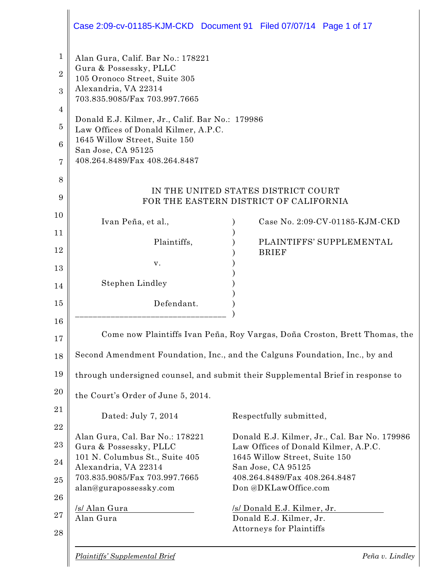|                                                                     |                                                                                                                                                                                                                                                                                                                                          | Case 2:09-cv-01185-KJM-CKD Document 91 Filed 07/07/14 Page 1 of 17              |
|---------------------------------------------------------------------|------------------------------------------------------------------------------------------------------------------------------------------------------------------------------------------------------------------------------------------------------------------------------------------------------------------------------------------|---------------------------------------------------------------------------------|
| $\mathbf 1$<br>$\overline{2}$<br>3<br>4<br>$\overline{5}$<br>6<br>7 | Alan Gura, Calif. Bar No.: 178221<br>Gura & Possessky, PLLC<br>105 Oronoco Street, Suite 305<br>Alexandria, VA 22314<br>703.835.9085/Fax 703.997.7665<br>Donald E.J. Kilmer, Jr., Calif. Bar No.: 179986<br>Law Offices of Donald Kilmer, A.P.C.<br>1645 Willow Street, Suite 150<br>San Jose, CA 95125<br>408.264.8489/Fax 408.264.8487 |                                                                                 |
| 8<br>9                                                              |                                                                                                                                                                                                                                                                                                                                          | IN THE UNITED STATES DISTRICT COURT<br>FOR THE EASTERN DISTRICT OF CALIFORNIA   |
| 10                                                                  |                                                                                                                                                                                                                                                                                                                                          |                                                                                 |
| 11                                                                  | Ivan Peña, et al.,                                                                                                                                                                                                                                                                                                                       | Case No. 2:09-CV-01185-KJM-CKD                                                  |
| 12                                                                  | Plaintiffs,                                                                                                                                                                                                                                                                                                                              | PLAINTIFFS' SUPPLEMENTAL<br><b>BRIEF</b>                                        |
| 13                                                                  | V.                                                                                                                                                                                                                                                                                                                                       |                                                                                 |
| 14                                                                  | Stephen Lindley                                                                                                                                                                                                                                                                                                                          |                                                                                 |
| 15                                                                  | Defendant.                                                                                                                                                                                                                                                                                                                               |                                                                                 |
| 16                                                                  |                                                                                                                                                                                                                                                                                                                                          |                                                                                 |
| 17                                                                  |                                                                                                                                                                                                                                                                                                                                          | Come now Plaintiffs Ivan Peña, Roy Vargas, Doña Croston, Brett Thomas, the      |
| 18                                                                  |                                                                                                                                                                                                                                                                                                                                          | Second Amendment Foundation, Inc., and the Calguns Foundation, Inc., by and     |
| 19                                                                  |                                                                                                                                                                                                                                                                                                                                          | through undersigned counsel, and submit their Supplemental Brief in response to |
| 20                                                                  | the Court's Order of June 5, 2014.                                                                                                                                                                                                                                                                                                       |                                                                                 |
| 21                                                                  | Dated: July 7, 2014                                                                                                                                                                                                                                                                                                                      | Respectfully submitted,                                                         |
| 22                                                                  | Alan Gura, Cal. Bar No.: 178221                                                                                                                                                                                                                                                                                                          | Donald E.J. Kilmer, Jr., Cal. Bar No. 179986                                    |
| 23                                                                  | Gura & Possessky, PLLC<br>101 N. Columbus St., Suite 405                                                                                                                                                                                                                                                                                 | Law Offices of Donald Kilmer, A.P.C.<br>1645 Willow Street, Suite 150           |
| 24                                                                  | Alexandria, VA 22314                                                                                                                                                                                                                                                                                                                     | San Jose, CA 95125                                                              |
| 25                                                                  | 703.835.9085/Fax 703.997.7665<br>alan@gurapossessky.com                                                                                                                                                                                                                                                                                  | 408.264.8489/Fax 408.264.8487<br>Don @DKLawOffice.com                           |
| 26                                                                  | /s/ Alan Gura                                                                                                                                                                                                                                                                                                                            | /s/ Donald E.J. Kilmer, Jr.                                                     |
| 27                                                                  | Alan Gura                                                                                                                                                                                                                                                                                                                                | Donald E.J. Kilmer, Jr.<br>Attorneys for Plaintiffs                             |
| 28                                                                  |                                                                                                                                                                                                                                                                                                                                          |                                                                                 |
|                                                                     | <b>Plaintiffs' Supplemental Brief</b>                                                                                                                                                                                                                                                                                                    | Peña v. Lindley                                                                 |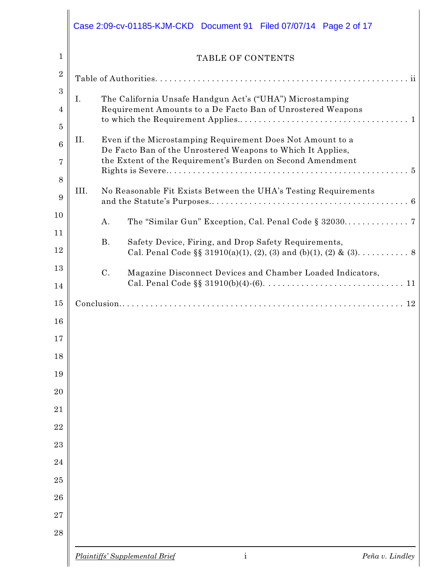|      |                | <b>TABLE OF CONTENTS</b>                                                                                                                                                                |
|------|----------------|-----------------------------------------------------------------------------------------------------------------------------------------------------------------------------------------|
|      |                |                                                                                                                                                                                         |
| Ι.   |                | The California Unsafe Handgun Act's ("UHA") Microstamping<br>Requirement Amounts to a De Facto Ban of Unrostered Weapons                                                                |
| II.  |                | Even if the Microstamping Requirement Does Not Amount to a<br>De Facto Ban of the Unrostered Weapons to Which It Applies,<br>the Extent of the Requirement's Burden on Second Amendment |
| III. |                | No Reasonable Fit Exists Between the UHA's Testing Requirements                                                                                                                         |
|      | A.             |                                                                                                                                                                                         |
|      | <b>B.</b>      | Safety Device, Firing, and Drop Safety Requirements,<br>Cal. Penal Code §§ 31910(a)(1), (2), (3) and (b)(1), (2) & (3). 8                                                               |
|      | $\mathcal{C}.$ | Magazine Disconnect Devices and Chamber Loaded Indicators,                                                                                                                              |
|      |                |                                                                                                                                                                                         |
|      |                |                                                                                                                                                                                         |
|      |                |                                                                                                                                                                                         |
|      |                |                                                                                                                                                                                         |
|      |                |                                                                                                                                                                                         |
|      |                |                                                                                                                                                                                         |
|      |                |                                                                                                                                                                                         |
|      |                |                                                                                                                                                                                         |
|      |                |                                                                                                                                                                                         |
|      |                |                                                                                                                                                                                         |
|      |                |                                                                                                                                                                                         |
|      |                |                                                                                                                                                                                         |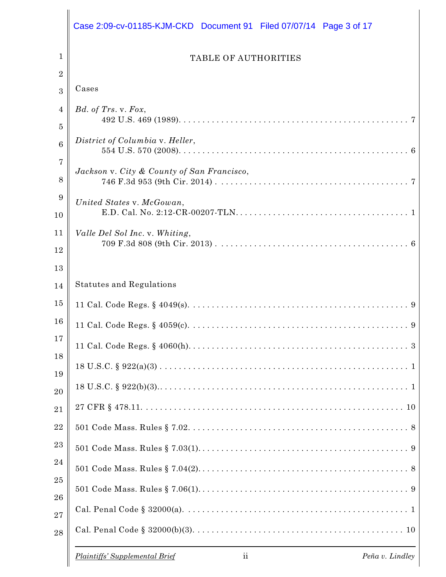|                 | Case 2:09-cv-01185-KJM-CKD Document 91 Filed 07/07/14 Page 3 of 17           |
|-----------------|------------------------------------------------------------------------------|
| 1               | <b>TABLE OF AUTHORITIES</b>                                                  |
| 2<br>3          | Cases                                                                        |
| 4<br>5          | $Bd.$ of Trs. v. Fox,                                                        |
| $6\phantom{1}6$ | District of Columbia v. Heller,                                              |
| 7<br>8          | Jackson v. City & County of San Francisco,                                   |
| 9<br>10         | United States v. McGowan,                                                    |
| 11<br>12        | Valle Del Sol Inc. v. Whiting,                                               |
| 13<br>14        | <b>Statutes and Regulations</b>                                              |
| 15              |                                                                              |
| 16              |                                                                              |
| 17<br>18        |                                                                              |
| 19              |                                                                              |
| 20              |                                                                              |
| 21              |                                                                              |
| 22              |                                                                              |
| 23              |                                                                              |
| $\sqrt{24}$     |                                                                              |
| 25              |                                                                              |
| 26<br>27        |                                                                              |
| 28              |                                                                              |
|                 | Plaintiffs' Supplemental Brief<br>$\overline{\mathbf{u}}$<br>Peña v. Lindley |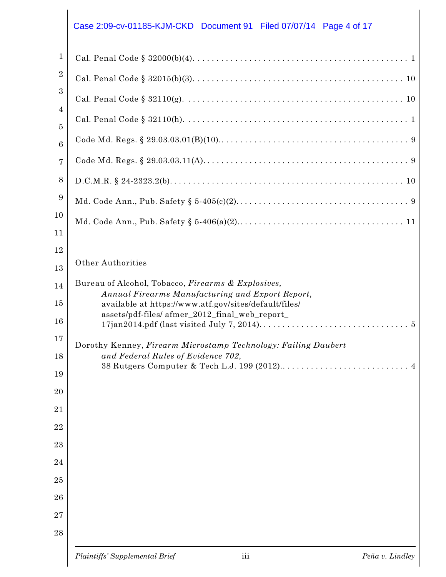# $\Big\|$  Case 2:09-cv-01185-KJM-CKD Document 91 Filed 07/07/14 Page 4 of 17

| 1                    |                                                                                                        |
|----------------------|--------------------------------------------------------------------------------------------------------|
| $\boldsymbol{2}$     |                                                                                                        |
| $\boldsymbol{3}$     |                                                                                                        |
| $\overline{4}$       |                                                                                                        |
| 5<br>$6\phantom{1}6$ |                                                                                                        |
| 7                    |                                                                                                        |
| 8                    |                                                                                                        |
| 9                    |                                                                                                        |
| 10                   |                                                                                                        |
| 11                   |                                                                                                        |
| 12                   |                                                                                                        |
| 13                   | <b>Other Authorities</b>                                                                               |
| 14                   | Bureau of Alcohol, Tobacco, Firearms & Explosives,<br>Annual Firearms Manufacturing and Export Report, |
| 15                   | available at https://www.atf.gov/sites/default/files/                                                  |
| 16                   | assets/pdf-files/ afmer_2012_final_web_report_                                                         |
| 17                   | Dorothy Kenney, Firearm Microstamp Technology: Failing Daubert                                         |
| 18                   | and Federal Rules of Evidence 702,                                                                     |
| 19                   |                                                                                                        |
| 20                   |                                                                                                        |
| 21                   |                                                                                                        |
| 22                   |                                                                                                        |
| 23                   |                                                                                                        |
| 24                   |                                                                                                        |
| 25<br>26             |                                                                                                        |
| 27                   |                                                                                                        |
| 28                   |                                                                                                        |
|                      |                                                                                                        |
|                      | $\overline{\text{iii}}$<br><b>Plaintiffs' Supplemental Brief</b><br>Peña v. Lindley                    |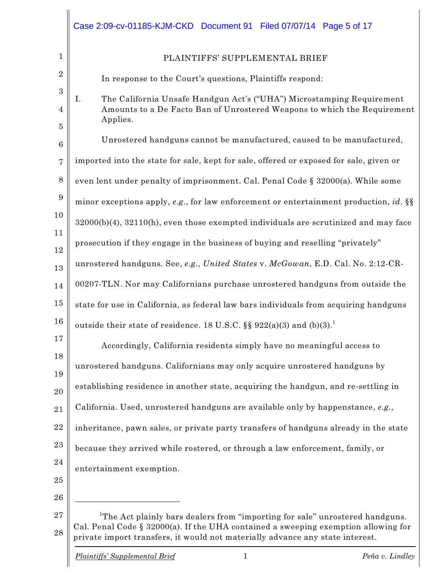|                     | Case 2:09-cv-01185-KJM-CKD Document 91 Filed 07/07/14 Page 5 of 17                                                                                                                                                                                                 |
|---------------------|--------------------------------------------------------------------------------------------------------------------------------------------------------------------------------------------------------------------------------------------------------------------|
| $\mathbf{1}$        | PLAINTIFFS' SUPPLEMENTAL BRIEF                                                                                                                                                                                                                                     |
| $\overline{2}$      | In response to the Court's questions, Plaintiffs respond:                                                                                                                                                                                                          |
| $\mathbf{3}$<br>4   | The California Unsafe Handgun Act's ("UHA") Microstamping Requirement<br>Ι.<br>Amounts to a De Facto Ban of Unrostered Weapons to which the Requirement<br>Applies.                                                                                                |
| $\overline{5}$<br>6 | Unrostered handguns cannot be manufactured, caused to be manufactured,                                                                                                                                                                                             |
| $\overline{7}$      | imported into the state for sale, kept for sale, offered or exposed for sale, given or                                                                                                                                                                             |
| 8                   | even lent under penalty of imprisonment. Cal. Penal Code § 32000(a). While some                                                                                                                                                                                    |
| 9                   | minor exceptions apply, e.g., for law enforcement or entertainment production, id. §§                                                                                                                                                                              |
| 10                  | 32000(b)(4), 32110(h), even those exempted individuals are scrutinized and may face                                                                                                                                                                                |
| 11                  | prosecution if they engage in the business of buying and reselling "privately"                                                                                                                                                                                     |
| 12                  | unrostered handguns. See, e.g., United States v. McGowan, E.D. Cal. No. 2:12-CR-                                                                                                                                                                                   |
| 13                  | 00207-TLN. Nor may Californians purchase unrostered handguns from outside the                                                                                                                                                                                      |
| 14<br>15            |                                                                                                                                                                                                                                                                    |
| 16                  | state for use in California, as federal law bars individuals from acquiring handguns                                                                                                                                                                               |
| 17                  | outside their state of residence. 18 U.S.C. §§ 922(a)(3) and $(b)(3)$ .                                                                                                                                                                                            |
| 18                  | Accordingly, California residents simply have no meaningful access to                                                                                                                                                                                              |
| 19                  | unrostered handguns. Californians may only acquire unrostered handguns by                                                                                                                                                                                          |
| 20                  | establishing residence in another state, acquiring the handgun, and re-settling in                                                                                                                                                                                 |
| 21                  | California. Used, unrostered handguns are available only by happenstance, e.g.,                                                                                                                                                                                    |
| 22                  | inheritance, pawn sales, or private party transfers of handguns already in the state                                                                                                                                                                               |
| 23                  | because they arrived while rostered, or through a law enforcement, family, or                                                                                                                                                                                      |
| 24                  | entertainment exemption.                                                                                                                                                                                                                                           |
| 25                  |                                                                                                                                                                                                                                                                    |
| 26                  |                                                                                                                                                                                                                                                                    |
| 27<br>28            | <sup>1</sup> The Act plainly bars dealers from "importing for sale" unrostered handguns.<br>Cal. Penal Code $\S$ 32000(a). If the UHA contained a sweeping exemption allowing for<br>private import transfers, it would not materially advance any state interest. |
|                     | 1<br><b>Plaintiffs' Supplemental Brief</b><br>Peña v. Lindley                                                                                                                                                                                                      |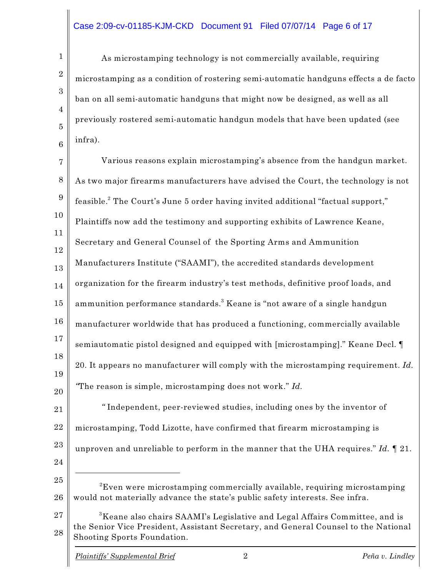#### Case 2:09-cv-01185-KJM-CKD Document 91 Filed 07/07/14 Page 6 of 17

As microstamping technology is not commercially available, requiring microstamping as a condition of rostering semi-automatic handguns effects a de facto ban on all semi-automatic handguns that might now be designed, as well as all previously rostered semi-automatic handgun models that have been updated (see infra).

7 8 9 10 11 12 13 14 15 16 17 18 19 20 21 22 23 24 25 26 27 28 Various reasons explain microstamping's absence from the handgun market. As two major firearms manufacturers have advised the Court, the technology is not feasible. $\rm ^2$  The Court's June 5 order having invited additional "factual support," Plaintiffs now add the testimony and supporting exhibits of Lawrence Keane, Secretary and General Counsel of the Sporting Arms and Ammunition Manufacturers Institute ("SAAMI"), the accredited standards development organization for the firearm industry's test methods, definitive proof loads, and ammunition performance standards. $^3$  Keane is "not aware of a single handgun manufacturer worldwide that has produced a functioning, commercially available semiautomatic pistol designed and equipped with [microstamping]." Keane Decl. ¶ 20. It appears no manufacturer will comply with the microstamping requirement. *Id. "*The reason is simple, microstamping does not work." *Id. "* Independent, peer-reviewed studies, including ones by the inventor of microstamping, Todd Lizotte, have confirmed that firearm microstamping is unproven and unreliable to perform in the manner that the UHA requires." *Id. ¶* 21.  ${\rm ^2E}$ ven were microstamping commercially available, requiring microstamping would not materially advance the state's public safety interests. See infra.  ${}^{3}$ Keane also chairs SAAMI's Legislative and Legal Affairs Committee, and is the Senior Vice President, Assistant Secretary, and General Counsel to the National Shooting Sports Foundation. *Plaintiffs' Supplemental Brief* 2 *Peña v. Lindley*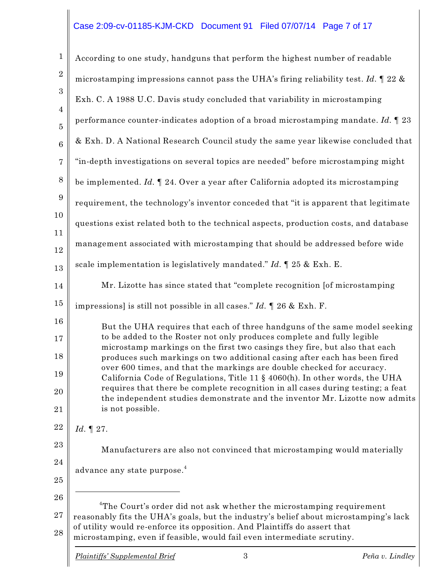## Case 2:09-cv-01185-KJM-CKD Document 91 Filed 07/07/14 Page 7 of 17

| $\mathbf{1}$                                       | According to one study, handguns that perform the highest number of readable                                                                                                                                                                                                                                                                                                                                                                                                                                                                                                                                                                                                                                                                                                                          |
|----------------------------------------------------|-------------------------------------------------------------------------------------------------------------------------------------------------------------------------------------------------------------------------------------------------------------------------------------------------------------------------------------------------------------------------------------------------------------------------------------------------------------------------------------------------------------------------------------------------------------------------------------------------------------------------------------------------------------------------------------------------------------------------------------------------------------------------------------------------------|
| $\boldsymbol{2}$                                   | microstamping impressions cannot pass the UHA's firing reliability test. Id. $\parallel$ 22 &                                                                                                                                                                                                                                                                                                                                                                                                                                                                                                                                                                                                                                                                                                         |
| $\boldsymbol{3}$                                   | Exh. C. A 1988 U.C. Davis study concluded that variability in microstamping                                                                                                                                                                                                                                                                                                                                                                                                                                                                                                                                                                                                                                                                                                                           |
| $\overline{4}$<br>$\overline{5}$                   | performance counter-indicates adoption of a broad microstamping mandate. Id. $\llbracket 23 \rrbracket$                                                                                                                                                                                                                                                                                                                                                                                                                                                                                                                                                                                                                                                                                               |
| $\,6$                                              | & Exh. D. A National Research Council study the same year likewise concluded that                                                                                                                                                                                                                                                                                                                                                                                                                                                                                                                                                                                                                                                                                                                     |
| $\overline{7}$                                     | "in-depth investigations on several topics are needed" before microstamping might                                                                                                                                                                                                                                                                                                                                                                                                                                                                                                                                                                                                                                                                                                                     |
| $8\,$                                              | be implemented. $Id. \P$ 24. Over a year after California adopted its microstamping                                                                                                                                                                                                                                                                                                                                                                                                                                                                                                                                                                                                                                                                                                                   |
| $\boldsymbol{9}$                                   | requirement, the technology's inventor conceded that "it is apparent that legitimate                                                                                                                                                                                                                                                                                                                                                                                                                                                                                                                                                                                                                                                                                                                  |
| 10                                                 | questions exist related both to the technical aspects, production costs, and database                                                                                                                                                                                                                                                                                                                                                                                                                                                                                                                                                                                                                                                                                                                 |
| 11<br>12                                           | management associated with microstamping that should be addressed before wide                                                                                                                                                                                                                                                                                                                                                                                                                                                                                                                                                                                                                                                                                                                         |
| 13                                                 | scale implementation is legislatively mandated." Id. $\parallel$ 25 & Exh. E.                                                                                                                                                                                                                                                                                                                                                                                                                                                                                                                                                                                                                                                                                                                         |
| 14                                                 | Mr. Lizotte has since stated that "complete recognition [of microstamping                                                                                                                                                                                                                                                                                                                                                                                                                                                                                                                                                                                                                                                                                                                             |
| 15                                                 | impressions] is still not possible in all cases." $Id. \P$ 26 & Exh. F.                                                                                                                                                                                                                                                                                                                                                                                                                                                                                                                                                                                                                                                                                                                               |
| 16<br>17<br>18<br>19<br>20<br>21<br>22<br>23<br>24 | But the UHA requires that each of three handguns of the same model seeking<br>to be added to the Roster not only produces complete and fully legible<br>microstamp markings on the first two casings they fire, but also that each<br>produces such markings on two additional casing after each has been fired<br>over 600 times, and that the markings are double checked for accuracy.<br>California Code of Regulations, Title 11 § 4060(h). In other words, the UHA<br>requires that there be complete recognition in all cases during testing; a feat<br>the independent studies demonstrate and the inventor Mr. Lizotte now admits<br>is not possible.<br>Id. $\P$ 27.<br>Manufacturers are also not convinced that microstamping would materially<br>advance any state purpose. <sup>4</sup> |
| 25<br>26<br>27<br>28                               | <sup>4</sup> The Court's order did not ask whether the microstamping requirement<br>reasonably fits the UHA's goals, but the industry's belief about microstamping's lack<br>of utility would re-enforce its opposition. And Plaintiffs do assert that<br>microstamping, even if feasible, would fail even intermediate scrutiny.                                                                                                                                                                                                                                                                                                                                                                                                                                                                     |

 $\overline{\phantom{a}}$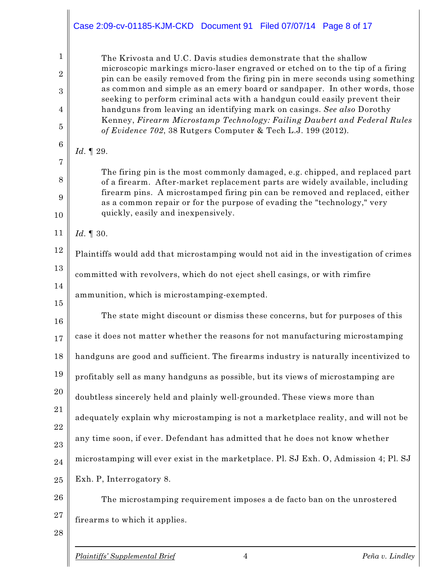|                                | Case 2:09-cv-01185-KJM-CKD Document 91 Filed 07/07/14 Page 8 of 17                                                                                                                                                                 |
|--------------------------------|------------------------------------------------------------------------------------------------------------------------------------------------------------------------------------------------------------------------------------|
| $\mathbf{1}$<br>$\overline{2}$ | The Krivosta and U.C. Davis studies demonstrate that the shallow<br>microscopic markings micro-laser engraved or etched on to the tip of a firing<br>pin can be easily removed from the firing pin in mere seconds using something |
| 3                              | as common and simple as an emery board or sandpaper. In other words, those                                                                                                                                                         |
| 4                              | seeking to perform criminal acts with a handgun could easily prevent their<br>handguns from leaving an identifying mark on casings. See also Dorothy                                                                               |
| 5                              | Kenney, Firearm Microstamp Technology: Failing Daubert and Federal Rules<br>of Evidence 702, 38 Rutgers Computer & Tech L.J. 199 (2012).                                                                                           |
| $6\phantom{.}6$                | Id. $\P$ 29.                                                                                                                                                                                                                       |
| 7                              | The firing pin is the most commonly damaged, e.g. chipped, and replaced part                                                                                                                                                       |
| 8                              | of a firearm. After-market replacement parts are widely available, including                                                                                                                                                       |
| 9                              | firearm pins. A microstamped firing pin can be removed and replaced, either<br>as a common repair or for the purpose of evading the "technology," very                                                                             |
| 10                             | quickly, easily and inexpensively.                                                                                                                                                                                                 |
| 11                             | Id. $\mathbb{I}$ 30.                                                                                                                                                                                                               |
| 12                             | Plaintiffs would add that microstamping would not aid in the investigation of crimes                                                                                                                                               |
| 13                             | committed with revolvers, which do not eject shell casings, or with rimfire                                                                                                                                                        |
| 14<br>15                       | ammunition, which is microstamping-exempted.                                                                                                                                                                                       |
| 16                             | The state might discount or dismiss these concerns, but for purposes of this                                                                                                                                                       |
| 17                             | case it does not matter whether the reasons for not manufacturing microstamping                                                                                                                                                    |
| 18                             | handguns are good and sufficient. The firearms industry is naturally incentivized to                                                                                                                                               |
| 19                             | profitably sell as many handguns as possible, but its views of microstamping are                                                                                                                                                   |
| 20                             | doubtless sincerely held and plainly well-grounded. These views more than                                                                                                                                                          |
| 21                             | adequately explain why microstamping is not a marketplace reality, and will not be                                                                                                                                                 |
| 22<br>23                       | any time soon, if ever. Defendant has admitted that he does not know whether                                                                                                                                                       |
| 24                             | microstamping will ever exist in the marketplace. Pl. SJ Exh. O, Admission 4; Pl. SJ                                                                                                                                               |
| 25                             | Exh. P, Interrogatory 8.                                                                                                                                                                                                           |
| 26                             | The microstamping requirement imposes a de facto ban on the unrostered                                                                                                                                                             |
| $^{27}$                        | firearms to which it applies.                                                                                                                                                                                                      |
| 28                             |                                                                                                                                                                                                                                    |
|                                | Peña v. Lindley<br><b>Plaintiffs' Supplemental Brief</b><br>$\overline{4}$                                                                                                                                                         |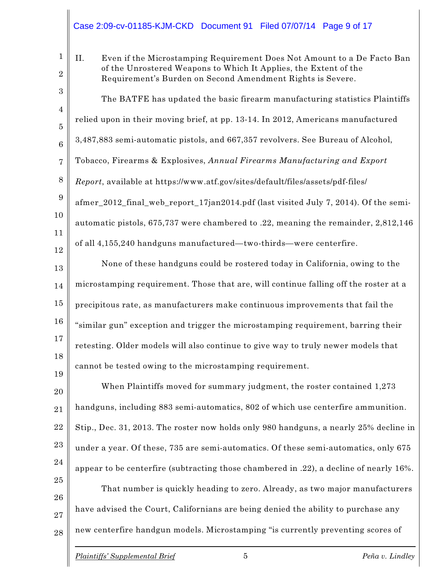#### Case 2:09-cv-01185-KJM-CKD Document 91 Filed 07/07/14 Page 9 of 17

1 2 3 4 5 6 7 8 9 10 11 12 13 14 15 16 17 18 19 20 21 22 II. Even if the Microstamping Requirement Does Not Amount to a De Facto Ban of the Unrostered Weapons to Which It Applies, the Extent of the Requirement's Burden on Second Amendment Rights is Severe. The BATFE has updated the basic firearm manufacturing statistics Plaintiffs relied upon in their moving brief, at pp. 13-14. In 2012, Americans manufactured 3,487,883 semi-automatic pistols, and 667,357 revolvers. See Bureau of Alcohol, Tobacco, Firearms & Explosives, *Annual Firearms Manufacturing and Export Report*, available at https://www.atf.gov/sites/default/files/assets/pdf-files/ afmer\_2012\_final\_web\_report\_17jan2014.pdf (last visited July 7, 2014). Of the semiautomatic pistols, 675,737 were chambered to .22, meaning the remainder, 2,812,146 of all 4,155,240 handguns manufactured—two-thirds—were centerfire. None of these handguns could be rostered today in California, owing to the microstamping requirement. Those that are, will continue falling off the roster at a precipitous rate, as manufacturers make continuous improvements that fail the "similar gun" exception and trigger the microstamping requirement, barring their retesting. Older models will also continue to give way to truly newer models that cannot be tested owing to the microstamping requirement. When Plaintiffs moved for summary judgment, the roster contained 1,273 handguns, including 883 semi-automatics, 802 of which use centerfire ammunition. Stip., Dec. 31, 2013. The roster now holds only 980 handguns, a nearly 25% decline in

23 under a year. Of these, 735 are semi-automatics. Of these semi-automatics, only 675

24 appear to be centerfire (subtracting those chambered in .22), a decline of nearly 16%.

25 26 27 28 That number is quickly heading to zero. Already, as two major manufacturers have advised the Court, Californians are being denied the ability to purchase any new centerfire handgun models. Microstamping "is currently preventing scores of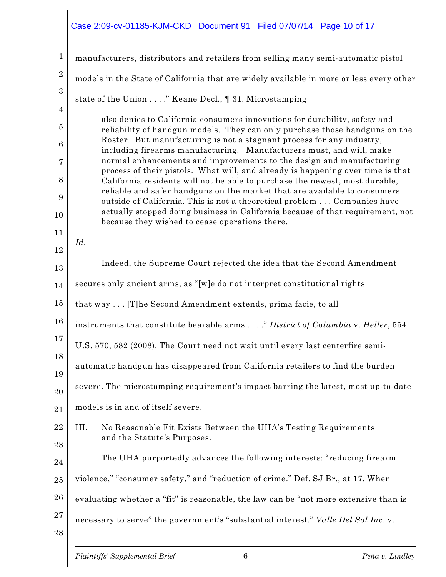# $\Bigg|$ Case 2:09-cv-01185-KJM-CKD Document 91 Filed 07/07/14 Page 10 of 17

| $\mathbf{1}$                       | manufacturers, distributors and retailers from selling many semi-automatic pistol                                                                                                                                                                                                                                                                                                                                                                                                                                                                    |
|------------------------------------|------------------------------------------------------------------------------------------------------------------------------------------------------------------------------------------------------------------------------------------------------------------------------------------------------------------------------------------------------------------------------------------------------------------------------------------------------------------------------------------------------------------------------------------------------|
| $\sqrt{2}$                         | models in the State of California that are widely available in more or less every other                                                                                                                                                                                                                                                                                                                                                                                                                                                              |
| $\boldsymbol{3}$                   | state of the Union " Keane Decl., 1 31. Microstamping                                                                                                                                                                                                                                                                                                                                                                                                                                                                                                |
| $\overline{4}$<br>5<br>6<br>7<br>8 | also denies to California consumers innovations for durability, safety and<br>reliability of handgun models. They can only purchase those handguns on the<br>Roster. But manufacturing is not a stagnant process for any industry,<br>including firearms manufacturing. Manufacturers must, and will, make<br>normal enhancements and improvements to the design and manufacturing<br>process of their pistols. What will, and already is happening over time is that<br>California residents will not be able to purchase the newest, most durable, |
| 9<br>10                            | reliable and safer handguns on the market that are available to consumers<br>outside of California. This is not a theoretical problem  Companies have<br>actually stopped doing business in California because of that requirement, not                                                                                                                                                                                                                                                                                                              |
| 11                                 | because they wished to cease operations there.<br>Id.                                                                                                                                                                                                                                                                                                                                                                                                                                                                                                |
| 12                                 |                                                                                                                                                                                                                                                                                                                                                                                                                                                                                                                                                      |
| 13                                 | Indeed, the Supreme Court rejected the idea that the Second Amendment                                                                                                                                                                                                                                                                                                                                                                                                                                                                                |
| 14                                 | secures only ancient arms, as "[w]e do not interpret constitutional rights                                                                                                                                                                                                                                                                                                                                                                                                                                                                           |
| 15                                 | that way [T]he Second Amendment extends, prima facie, to all                                                                                                                                                                                                                                                                                                                                                                                                                                                                                         |
| 16                                 | instruments that constitute bearable arms" District of Columbia v. Heller, 554                                                                                                                                                                                                                                                                                                                                                                                                                                                                       |
| 17<br>18                           | U.S. 570, 582 (2008). The Court need not wait until every last centerfire semi-                                                                                                                                                                                                                                                                                                                                                                                                                                                                      |
| 19                                 | automatic handgun has disappeared from California retailers to find the burden                                                                                                                                                                                                                                                                                                                                                                                                                                                                       |
| 20                                 | severe. The microstamping requirement's impact barring the latest, most up-to-date                                                                                                                                                                                                                                                                                                                                                                                                                                                                   |
| 21                                 | models is in and of itself severe.                                                                                                                                                                                                                                                                                                                                                                                                                                                                                                                   |
| 22<br>23                           | III.<br>No Reasonable Fit Exists Between the UHA's Testing Requirements<br>and the Statute's Purposes.                                                                                                                                                                                                                                                                                                                                                                                                                                               |
| 24                                 | The UHA purportedly advances the following interests: "reducing firearm                                                                                                                                                                                                                                                                                                                                                                                                                                                                              |
| 25                                 | violence," "consumer safety," and "reduction of crime." Def. SJ Br., at 17. When                                                                                                                                                                                                                                                                                                                                                                                                                                                                     |
| 26                                 | evaluating whether a "fit" is reasonable, the law can be "not more extensive than is                                                                                                                                                                                                                                                                                                                                                                                                                                                                 |
| $^{27}$<br>28                      | necessary to serve" the government's "substantial interest." Valle Del Sol Inc. v.                                                                                                                                                                                                                                                                                                                                                                                                                                                                   |
|                                    | $6\phantom{.}6$<br><b>Plaintiffs' Supplemental Brief</b><br>Peña v. Lindley                                                                                                                                                                                                                                                                                                                                                                                                                                                                          |

 $\parallel$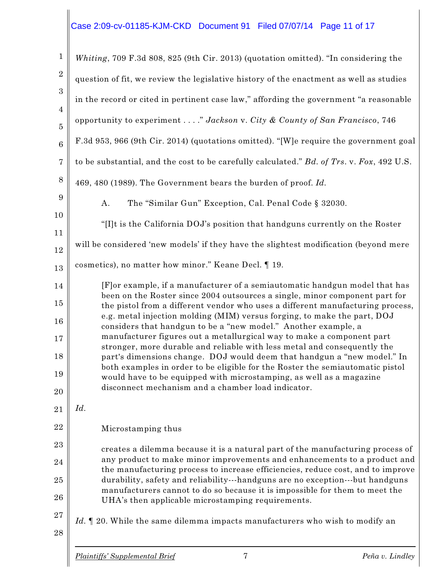### Case 2:09-cv-01185-KJM-CKD Document 91 Filed 07/07/14 Page 11 of 17

| $\mathbf{1}$                     | Whiting, 709 F.3d 808, 825 (9th Cir. 2013) (quotation omitted). "In considering the                                                                                                                               |
|----------------------------------|-------------------------------------------------------------------------------------------------------------------------------------------------------------------------------------------------------------------|
| $\overline{2}$                   | question of fit, we review the legislative history of the enactment as well as studies                                                                                                                            |
| 3                                | in the record or cited in pertinent case law," affording the government "a reasonable                                                                                                                             |
| $\overline{4}$<br>$\overline{5}$ | opportunity to experiment " Jackson v. City & County of San Francisco, 746                                                                                                                                        |
| $\boldsymbol{6}$                 | F.3d 953, 966 (9th Cir. 2014) (quotations omitted). "[W]e require the government goal                                                                                                                             |
| $\overline{7}$                   | to be substantial, and the cost to be carefully calculated." Bd. of Trs. v. Fox, 492 U.S.                                                                                                                         |
| 8                                | 469, 480 (1989). The Government bears the burden of proof. Id.                                                                                                                                                    |
| 9                                | The "Similar Gun" Exception, Cal. Penal Code § 32030.<br>Α.                                                                                                                                                       |
| 10<br>11                         | "[I]t is the California DOJ's position that handguns currently on the Roster                                                                                                                                      |
| 12                               | will be considered 'new models' if they have the slightest modification (beyond mere                                                                                                                              |
| 13                               | cosmetics), no matter how minor." Keane Decl. [19.                                                                                                                                                                |
| 14                               | [F] or example, if a manufacturer of a semiautomatic handgun model that has<br>been on the Roster since 2004 outsources a single, minor component part for                                                        |
| 15                               | the pistol from a different vendor who uses a different manufacturing process,<br>e.g. metal injection molding (MIM) versus forging, to make the part, DOJ                                                        |
| 16                               | considers that handgun to be a "new model." Another example, a<br>manufacturer figures out a metallurgical way to make a component part                                                                           |
| 17<br>18                         | stronger, more durable and reliable with less metal and consequently the<br>part's dimensions change. DOJ would deem that handgun a "new model." In                                                               |
| 19                               | both examples in order to be eligible for the Roster the semiautomatic pistol<br>would have to be equipped with microstamping, as well as a magazine                                                              |
| 20                               | disconnect mechanism and a chamber load indicator.                                                                                                                                                                |
| 21                               | Id.                                                                                                                                                                                                               |
| 22                               | Microstamping thus                                                                                                                                                                                                |
| 23                               | creates a dilemma because it is a natural part of the manufacturing process of                                                                                                                                    |
| 24                               | any product to make minor improvements and enhancements to a product and<br>the manufacturing process to increase efficiencies, reduce cost, and to improve                                                       |
| 25<br>26                         | durability, safety and reliability---handguns are no exception---but handguns<br>manufacturers cannot to do so because it is impossible for them to meet the<br>UHA's then applicable microstamping requirements. |
| 27<br>28                         | Id. 1 20. While the same dilemma impacts manufacturers who wish to modify an                                                                                                                                      |
|                                  |                                                                                                                                                                                                                   |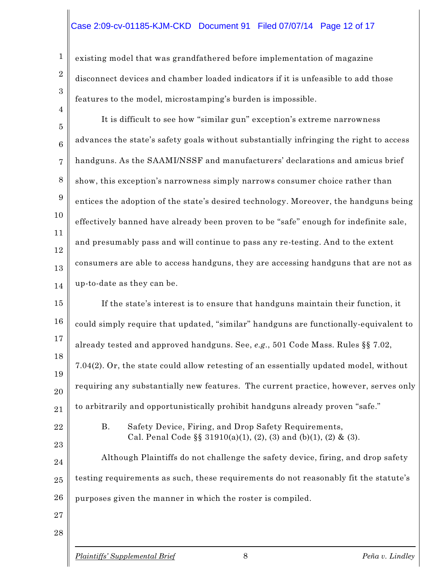#### Case 2:09-cv-01185-KJM-CKD Document 91 Filed 07/07/14 Page 12 of 17

existing model that was grandfathered before implementation of magazine disconnect devices and chamber loaded indicators if it is unfeasible to add those features to the model, microstamping's burden is impossible.

5 6 7 8 9 10 11 12 13 14 It is difficult to see how "similar gun" exception's extreme narrowness advances the state's safety goals without substantially infringing the right to access handguns. As the SAAMI/NSSF and manufacturers' declarations and amicus brief show, this exception's narrowness simply narrows consumer choice rather than entices the adoption of the state's desired technology. Moreover, the handguns being effectively banned have already been proven to be "safe" enough for indefinite sale, and presumably pass and will continue to pass any re-testing. And to the extent consumers are able to access handguns, they are accessing handguns that are not as up-to-date as they can be.

15 16 17 18 19 20 21 If the state's interest is to ensure that handguns maintain their function, it could simply require that updated, "similar" handguns are functionally-equivalent to already tested and approved handguns. See, *e.g.*, 501 Code Mass. Rules §§ 7.02, 7.04(2). Or, the state could allow retesting of an essentially updated model, without requiring any substantially new features. The current practice, however, serves only to arbitrarily and opportunistically prohibit handguns already proven "safe."

22

23

1

2

3

4

B. Safety Device, Firing, and Drop Safety Requirements, Cal. Penal Code  $\S$ § 31910(a)(1), (2), (3) and (b)(1), (2) & (3).

24 25 26 Although Plaintiffs do not challenge the safety device, firing, and drop safety testing requirements as such, these requirements do not reasonably fit the statute's purposes given the manner in which the roster is compiled.

27 28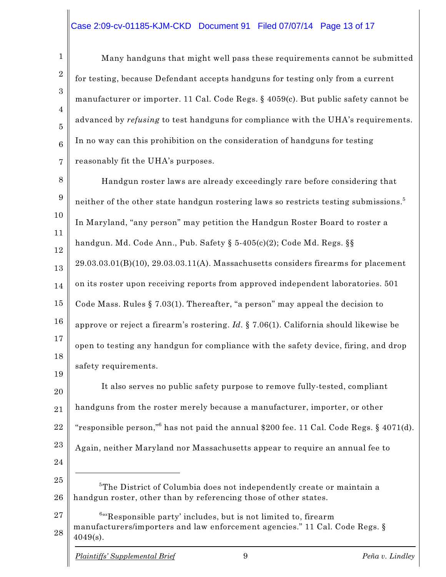#### Case 2:09-cv-01185-KJM-CKD Document 91 Filed 07/07/14 Page 13 of 17

Many handguns that might well pass these requirements cannot be submitted for testing, because Defendant accepts handguns for testing only from a current manufacturer or importer. 11 Cal. Code Regs. § 4059(c). But public safety cannot be advanced by *refusing* to test handguns for compliance with the UHA's requirements. In no way can this prohibition on the consideration of handguns for testing reasonably fit the UHA's purposes.

8 9 10 11 12 13 14 15 16 17 18 19 Handgun roster laws are already exceedingly rare before considering that neither of the other state handgun rostering laws so restricts testing submissions. $^5$ In Maryland, "any person" may petition the Handgun Roster Board to roster a handgun. Md. Code Ann., Pub. Safety § 5-405(c)(2); Code Md. Regs. §§ 29.03.03.01(B)(10), 29.03.03.11(A). Massachusetts considers firearms for placement on its roster upon receiving reports from approved independent laboratories. 501 Code Mass. Rules § 7.03(1). Thereafter, "a person" may appeal the decision to approve or reject a firearm's rostering. *Id.* § 7.06(1). California should likewise be open to testing any handgun for compliance with the safety device, firing, and drop safety requirements.

20 21 22 23 24 25 26 27 It also serves no public safety purpose to remove fully-tested, compliant handguns from the roster merely because a manufacturer, importer, or other "responsible person," has not paid the annual \$200 fee. 11 Cal. Code Regs. § 4071(d). Again, neither Maryland nor Massachusetts appear to require an annual fee to  $5$ The District of Columbia does not independently create or maintain a handgun roster, other than by referencing those of other states.  $64$ <sup>6</sup> Responsible party' includes, but is not limited to, firearm

28 manufacturers/importers and law enforcement agencies." 11 Cal. Code Regs. §  $4049(s)$ .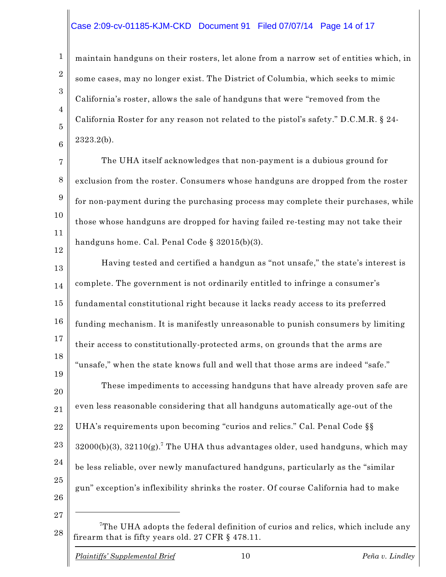#### Case 2:09-cv-01185-KJM-CKD Document 91 Filed 07/07/14 Page 14 of 17

maintain handguns on their rosters, let alone from a narrow set of entities which, in some cases, may no longer exist. The District of Columbia, which seeks to mimic California's roster, allows the sale of handguns that were "removed from the California Roster for any reason not related to the pistol's safety." D.C.M.R. § 24- 2323.2(b).

7 8 9 10 11 12 The UHA itself acknowledges that non-payment is a dubious ground for exclusion from the roster. Consumers whose handguns are dropped from the roster for non-payment during the purchasing process may complete their purchases, while those whose handguns are dropped for having failed re-testing may not take their handguns home. Cal. Penal Code § 32015(b)(3).

13 14 15 16 17 18 19 20 21 22 23 24 Having tested and certified a handgun as "not unsafe," the state's interest is complete. The government is not ordinarily entitled to infringe a consumer's fundamental constitutional right because it lacks ready access to its preferred funding mechanism. It is manifestly unreasonable to punish consumers by limiting their access to constitutionally-protected arms, on grounds that the arms are "unsafe," when the state knows full and well that those arms are indeed "safe." These impediments to accessing handguns that have already proven safe are even less reasonable considering that all handguns automatically age-out of the UHA's requirements upon becoming "curios and relics." Cal. Penal Code §§  $32000(b)(3)$ ,  $32110(g)$ .<sup>7</sup> The UHA thus advantages older, used handguns, which may

25

1

2

3

4

5

6

26

27

be less reliable, over newly manufactured handguns, particularly as the "similar

gun" exception's inflexibility shrinks the roster. Of course California had to make

<sup>28</sup>  ${\rm ^7The~UHA}$  adopts the federal definition of curios and relics, which include any firearm that is fifty years old. 27 CFR § 478.11.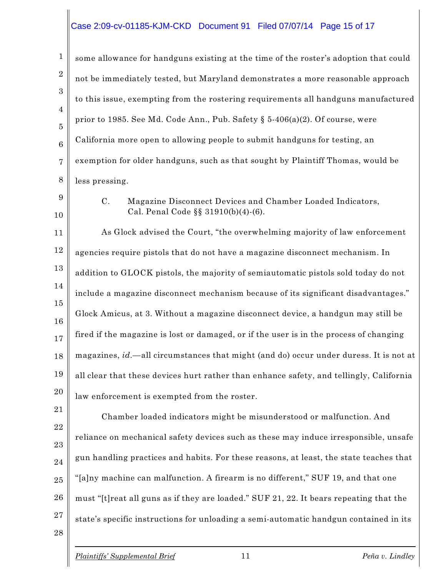### Case 2:09-cv-01185-KJM-CKD Document 91 Filed 07/07/14 Page 15 of 17

| $\mathbf{1}$                     | some allowance for handguns existing at the time of the roster's adoption that could                       |  |
|----------------------------------|------------------------------------------------------------------------------------------------------------|--|
| $\boldsymbol{2}$                 | not be immediately tested, but Maryland demonstrates a more reasonable approach                            |  |
| 3                                | to this issue, exempting from the rostering requirements all handguns manufactured                         |  |
| $\overline{4}$<br>$\overline{5}$ | prior to 1985. See Md. Code Ann., Pub. Safety § 5-406(a)(2). Of course, were                               |  |
| $6\phantom{1}6$                  | California more open to allowing people to submit handguns for testing, an                                 |  |
| $\overline{7}$                   | exemption for older handguns, such as that sought by Plaintiff Thomas, would be                            |  |
| 8                                | less pressing.                                                                                             |  |
| 9<br>10                          | $C$ .<br>Magazine Disconnect Devices and Chamber Loaded Indicators,<br>Cal. Penal Code §§ 31910(b)(4)-(6). |  |
| 11                               | As Glock advised the Court, "the overwhelming majority of law enforcement                                  |  |
| 12                               | agencies require pistols that do not have a magazine disconnect mechanism. In                              |  |
| 13                               | addition to GLOCK pistols, the majority of semiautomatic pistols sold today do not                         |  |
| 14                               | include a magazine disconnect mechanism because of its significant disadvantages."                         |  |
| 15<br>16                         | Glock Amicus, at 3. Without a magazine disconnect device, a handgun may still be                           |  |
| 17                               | fired if the magazine is lost or damaged, or if the user is in the process of changing                     |  |
| 18                               | magazines, id. — all circumstances that might (and do) occur under duress. It is not at                    |  |
| 19                               | all clear that these devices hurt rather than enhance safety, and tellingly, California                    |  |
| 20                               | law enforcement is exempted from the roster.                                                               |  |
| 21                               | Chamber loaded indicators might be misunderstood or malfunction. And                                       |  |
| 22<br>23                         | reliance on mechanical safety devices such as these may induce irresponsible, unsafe                       |  |
| 24                               | gun handling practices and habits. For these reasons, at least, the state teaches that                     |  |
| 25                               | "[a]ny machine can malfunction. A firearm is no different," SUF 19, and that one                           |  |
| 26                               | must "[t] reat all guns as if they are loaded." SUF 21, 22. It bears repeating that the                    |  |
| 27<br>28                         | state's specific instructions for unloading a semi-automatic handgun contained in its                      |  |
|                                  |                                                                                                            |  |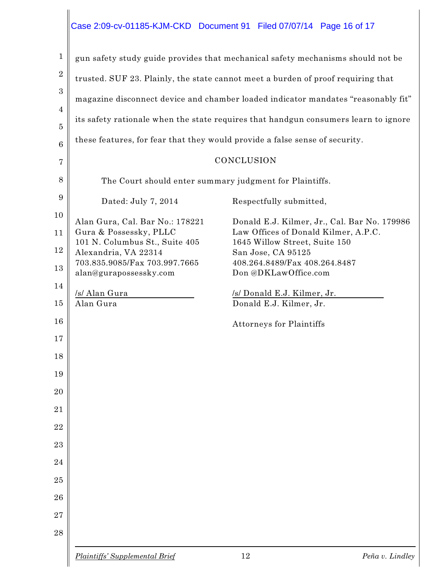### Case 2:09-cv-01185-KJM-CKD Document 91 Filed 07/07/14 Page 16 of 17

| 1               |                                                                             | gun safety study guide provides that mechanical safety mechanisms should not be     |
|-----------------|-----------------------------------------------------------------------------|-------------------------------------------------------------------------------------|
| $\sqrt{2}$      |                                                                             | trusted. SUF 23. Plainly, the state cannot meet a burden of proof requiring that    |
| 3               |                                                                             | magazine disconnect device and chamber loaded indicator mandates "reasonably fit"   |
| 4               |                                                                             | its safety rationale when the state requires that handgun consumers learn to ignore |
| 5               | these features, for fear that they would provide a false sense of security. |                                                                                     |
| $6\phantom{1}6$ |                                                                             | CONCLUSION                                                                          |
| $\overline{7}$  |                                                                             |                                                                                     |
| 8               | The Court should enter summary judgment for Plaintiffs.                     |                                                                                     |
| 9               | Dated: July 7, 2014                                                         | Respectfully submitted,                                                             |
| 10              | Alan Gura, Cal. Bar No.: 178221                                             | Donald E.J. Kilmer, Jr., Cal. Bar No. 179986                                        |
| 11              | Gura & Possessky, PLLC<br>101 N. Columbus St., Suite 405                    | Law Offices of Donald Kilmer, A.P.C.<br>1645 Willow Street, Suite 150               |
| 12              | Alexandria, VA 22314                                                        | San Jose, CA 95125                                                                  |
| 13              | 703.835.9085/Fax 703.997.7665<br>alan@gurapossessky.com                     | 408.264.8489/Fax 408.264.8487<br>Don @DKLawOffice.com                               |
| 14              |                                                                             |                                                                                     |
| 15              | /s/ Alan Gura<br>Alan Gura                                                  | /s/ Donald E.J. Kilmer, Jr.<br>Donald E.J. Kilmer, Jr.                              |
| 16              |                                                                             | Attorneys for Plaintiffs                                                            |
| 17              |                                                                             |                                                                                     |
| 18              |                                                                             |                                                                                     |
| 19              |                                                                             |                                                                                     |
| 20              |                                                                             |                                                                                     |
| 21              |                                                                             |                                                                                     |
| 22              |                                                                             |                                                                                     |
| 23              |                                                                             |                                                                                     |
| 24              |                                                                             |                                                                                     |
| 25              |                                                                             |                                                                                     |
| 26              |                                                                             |                                                                                     |
| 27              |                                                                             |                                                                                     |
| 28              |                                                                             |                                                                                     |
|                 |                                                                             |                                                                                     |

 $\parallel$